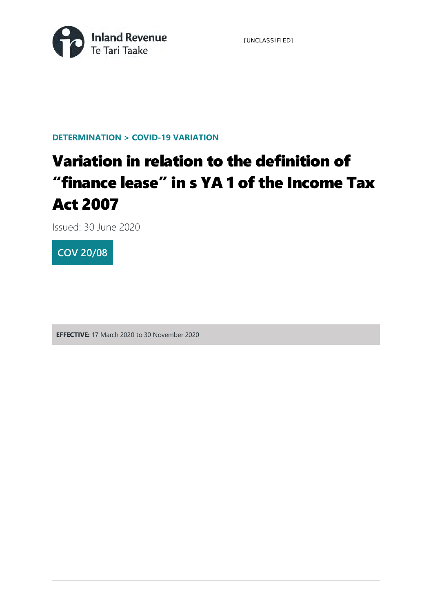[UNCLASSIFIED]



#### **DETERMINATION > COVID-19 VARIATION**

# Variation in relation to the definition of "finance lease" in s YA 1 of the Income Tax Act 2007

Issued: 30 June 2020



**EFFECTIVE:** 17 March 2020 to 30 November 2020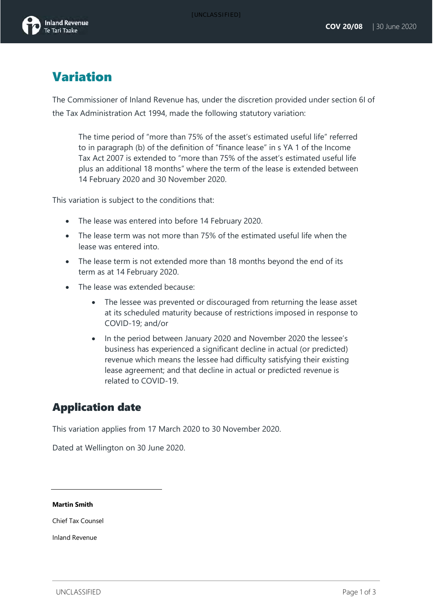

# Variation

The Commissioner of Inland Revenue has, under the discretion provided under section 6I of the Tax Administration Act 1994, made the following statutory variation:

The time period of "more than 75% of the asset's estimated useful life" referred to in paragraph (b) of the definition of "finance lease" in s YA 1 of the Income Tax Act 2007 is extended to "more than 75% of the asset's estimated useful life plus an additional 18 months" where the term of the lease is extended between 14 February 2020 and 30 November 2020.

This variation is subject to the conditions that:

- The lease was entered into before 14 February 2020.
- The lease term was not more than 75% of the estimated useful life when the lease was entered into.
- The lease term is not extended more than 18 months beyond the end of its term as at 14 February 2020.
- The lease was extended because:
	- The lessee was prevented or discouraged from returning the lease asset at its scheduled maturity because of restrictions imposed in response to COVID-19; and/or
	- In the period between January 2020 and November 2020 the lessee's business has experienced a significant decline in actual (or predicted) revenue which means the lessee had difficulty satisfying their existing lease agreement; and that decline in actual or predicted revenue is related to COVID-19.

#### Application date

This variation applies from 17 March 2020 to 30 November 2020.

Dated at Wellington on 30 June 2020.

#### **Martin Smith**

Chief Tax Counsel

Inland Revenue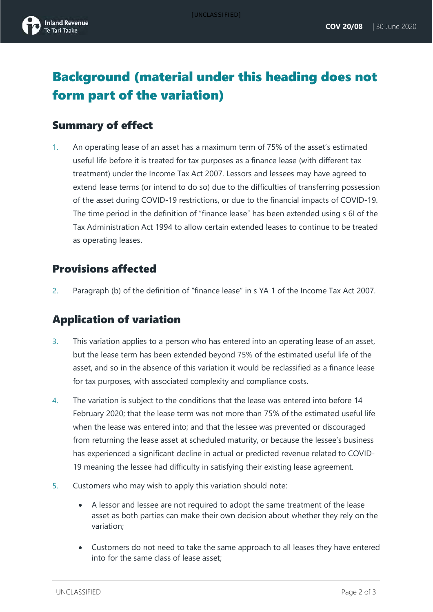

# Background (material under this heading does not form part of the variation)

#### Summary of effect

1. An operating lease of an asset has a maximum term of 75% of the asset's estimated useful life before it is treated for tax purposes as a finance lease (with different tax treatment) under the Income Tax Act 2007. Lessors and lessees may have agreed to extend lease terms (or intend to do so) due to the difficulties of transferring possession of the asset during COVID-19 restrictions, or due to the financial impacts of COVID-19. The time period in the definition of "finance lease" has been extended using s 6I of the Tax Administration Act 1994 to allow certain extended leases to continue to be treated as operating leases.

#### Provisions affected

2. Paragraph (b) of the definition of "finance lease" in s YA 1 of the Income Tax Act 2007.

#### Application of variation

- 3. This variation applies to a person who has entered into an operating lease of an asset, but the lease term has been extended beyond 75% of the estimated useful life of the asset, and so in the absence of this variation it would be reclassified as a finance lease for tax purposes, with associated complexity and compliance costs.
- 4. The variation is subject to the conditions that the lease was entered into before 14 February 2020; that the lease term was not more than 75% of the estimated useful life when the lease was entered into; and that the lessee was prevented or discouraged from returning the lease asset at scheduled maturity, or because the lessee's business has experienced a significant decline in actual or predicted revenue related to COVID-19 meaning the lessee had difficulty in satisfying their existing lease agreement.
- 5. Customers who may wish to apply this variation should note:
	- A lessor and lessee are not required to adopt the same treatment of the lease asset as both parties can make their own decision about whether they rely on the variation;
	- Customers do not need to take the same approach to all leases they have entered into for the same class of lease asset;